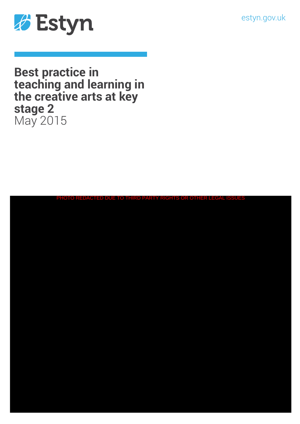estyn.gov.uk



**Best practice in teaching and learning in the creative arts at key stage 2** May 2015

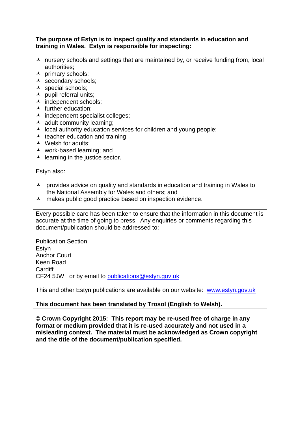#### **The purpose of Estyn is to inspect quality and standards in education and training in Wales. Estyn is responsible for inspecting:**

- $\lambda$  nursery schools and settings that are maintained by, or receive funding from, local authorities;
- $\lambda$  primary schools;
- $\triangle$  secondary schools;
- A special schools;
- $\blacktriangle$  pupil referral units;
- ▲ independent schools;
- $\blacktriangle$  further education:
- $\lambda$  independent specialist colleges;
- $\triangle$  adult community learning;
- $\lambda$  local authority education services for children and young people;
- $\triangle$  teacher education and training;
- $\triangle$  Welsh for adults;
- work-based learning; and
- $\blacktriangle$  learning in the justice sector.

Estyn also:

- A provides advice on quality and standards in education and training in Wales to the National Assembly for Wales and others; and
- A makes public good practice based on inspection evidence.

Every possible care has been taken to ensure that the information in this document is accurate at the time of going to press. Any enquiries or comments regarding this document/publication should be addressed to:

Publication Section Estyn Anchor Court Keen Road **Cardiff** CF24 5JW or by email to [publications@estyn.gov.uk](mailto:publications@estyn.gsi.gov.uk)

This and other Estyn publications are available on our website: [www.estyn.gov.uk](http://www.estyn.gov.uk/)

### **This document has been translated by Trosol (English to Welsh).**

**© Crown Copyright 2015: This report may be re-used free of charge in any format or medium provided that it is re-used accurately and not used in a misleading context. The material must be acknowledged as Crown copyright and the title of the document/publication specified.**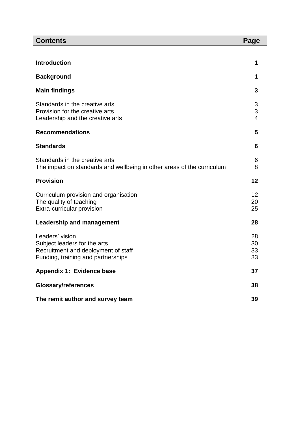| <b>Contents</b>                                                                                                              | Page                 |
|------------------------------------------------------------------------------------------------------------------------------|----------------------|
|                                                                                                                              |                      |
| <b>Introduction</b>                                                                                                          | 1                    |
| <b>Background</b>                                                                                                            | 1                    |
| <b>Main findings</b>                                                                                                         | 3                    |
| Standards in the creative arts<br>Provision for the creative arts<br>Leadership and the creative arts                        | 3<br>3<br>4          |
| <b>Recommendations</b>                                                                                                       | 5                    |
| <b>Standards</b>                                                                                                             | 6                    |
| Standards in the creative arts<br>The impact on standards and wellbeing in other areas of the curriculum                     | 6<br>8               |
| <b>Provision</b>                                                                                                             | 12                   |
| Curriculum provision and organisation<br>The quality of teaching<br>Extra-curricular provision                               | 12<br>20<br>25       |
| <b>Leadership and management</b>                                                                                             | 28                   |
| Leaders' vision<br>Subject leaders for the arts<br>Recruitment and deployment of staff<br>Funding, training and partnerships | 28<br>30<br>33<br>33 |
| Appendix 1: Evidence base                                                                                                    | 37                   |
| <b>Glossary/references</b>                                                                                                   | 38                   |
| The remit author and survey team                                                                                             | 39                   |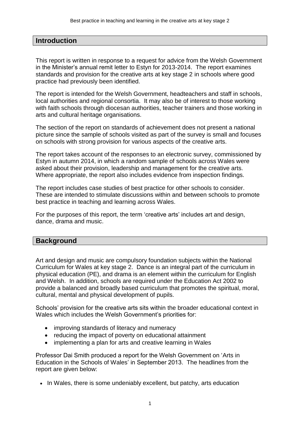### **Introduction**

This report is written in response to a request for advice from the Welsh Government in the Minister's annual remit letter to Estyn for 2013-2014. The report examines standards and provision for the creative arts at key stage 2 in schools where good practice had previously been identified.

The report is intended for the Welsh Government, headteachers and staff in schools, local authorities and regional consortia. It may also be of interest to those working with faith schools through diocesan authorities, teacher trainers and those working in arts and cultural heritage organisations.

The section of the report on standards of achievement does not present a national picture since the sample of schools visited as part of the survey is small and focuses on schools with strong provision for various aspects of the creative arts.

The report takes account of the responses to an electronic survey, commissioned by Estyn in autumn 2014, in which a random sample of schools across Wales were asked about their provision, leadership and management for the creative arts. Where appropriate, the report also includes evidence from inspection findings.

The report includes case studies of best practice for other schools to consider. These are intended to stimulate discussions within and between schools to promote best practice in teaching and learning across Wales.

For the purposes of this report, the term 'creative arts' includes art and design, dance, drama and music.

### **Background**

Art and design and music are compulsory foundation subjects within the National Curriculum for Wales at key stage 2. Dance is an integral part of the curriculum in physical education (PE), and drama is an element within the curriculum for English and Welsh. In addition, schools are required under the Education Act 2002 to provide a balanced and broadly based curriculum that promotes the spiritual, moral, cultural, mental and physical development of pupils.

Schools' provision for the creative arts sits within the broader educational context in Wales which includes the Welsh Government's priorities for:

- improving standards of literacy and numeracy
- reducing the impact of poverty on educational attainment
- implementing a plan for arts and creative learning in Wales

Professor Dai Smith produced a report for the Welsh Government on 'Arts in Education in the Schools of Wales' in September 2013. The headlines from the report are given below:

• In Wales, there is some undeniably excellent, but patchy, arts education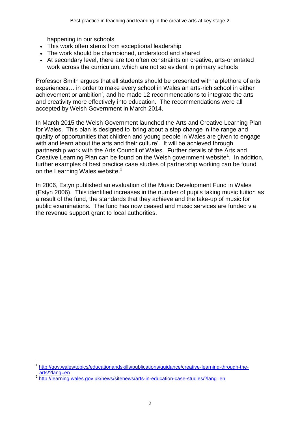happening in our schools

- This work often stems from exceptional leadership
- The work should be championed, understood and shared
- At secondary level, there are too often constraints on creative, arts-orientated work across the curriculum, which are not so evident in primary schools

Professor Smith argues that all students should be presented with 'a plethora of arts experiences… in order to make every school in Wales an arts-rich school in either achievement or ambition', and he made 12 recommendations to integrate the arts and creativity more effectively into education. The recommendations were all accepted by Welsh Government in March 2014.

In March 2015 the Welsh Government launched the Arts and Creative Learning Plan for Wales. This plan is designed to 'bring about a step change in the range and quality of opportunities that children and young people in Wales are given to engage with and learn about the arts and their culture'. It will be achieved through partnership work with the Arts Council of Wales. Further details of the Arts and Creative Learning Plan can be found on the Welsh government website<sup>1</sup>. In addition, further examples of best practice case studies of partnership working can be found on the Learning Wales website.<sup>2</sup>

In 2006, Estyn published an evaluation of the Music Development Fund in Wales (Estyn 2006). This identified increases in the number of pupils taking music tuition as a result of the fund, the standards that they achieve and the take-up of music for public examinations. The fund has now ceased and music services are funded via the revenue support grant to local authorities.

 $\overline{a}$ 1 [http://gov.wales/topics/educationandskills/publications/guidance/creative-learning-through-the](http://gov.wales/topics/educationandskills/publications/guidance/creative-learning-through-the-arts/?lang=en)[arts/?lang=en](http://gov.wales/topics/educationandskills/publications/guidance/creative-learning-through-the-arts/?lang=en)

<sup>&</sup>lt;sup>2</sup> <http://learning.wales.gov.uk/news/sitenews/arts-in-education-case-studies/?lang=en>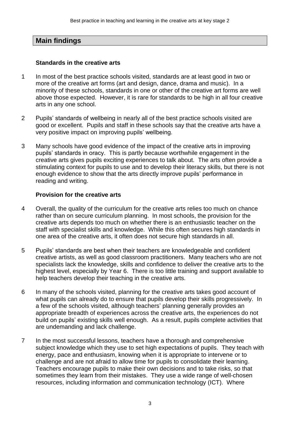## **Main findings**

#### **Standards in the creative arts**

- 1 In most of the best practice schools visited, standards are at least good in two or more of the creative art forms (art and design, dance, drama and music). In a minority of these schools, standards in one or other of the creative art forms are well above those expected. However, it is rare for standards to be high in all four creative arts in any one school.
- 2 Pupils' standards of wellbeing in nearly all of the best practice schools visited are good or excellent. Pupils and staff in these schools say that the creative arts have a very positive impact on improving pupils' wellbeing.
- 3 Many schools have good evidence of the impact of the creative arts in improving pupils' standards in oracy. This is partly because worthwhile engagement in the creative arts gives pupils exciting experiences to talk about. The arts often provide a stimulating context for pupils to use and to develop their literacy skills, but there is not enough evidence to show that the arts directly improve pupils' performance in reading and writing.

#### **Provision for the creative arts**

- 4 Overall, the quality of the curriculum for the creative arts relies too much on chance rather than on secure curriculum planning. In most schools, the provision for the creative arts depends too much on whether there is an enthusiastic teacher on the staff with specialist skills and knowledge. While this often secures high standards in one area of the creative arts, it often does not secure high standards in all.
- 5 Pupils' standards are best when their teachers are knowledgeable and confident creative artists, as well as good classroom practitioners. Many teachers who are not specialists lack the knowledge, skills and confidence to deliver the creative arts to the highest level, especially by Year 6. There is too little training and support available to help teachers develop their teaching in the creative arts.
- 6 In many of the schools visited, planning for the creative arts takes good account of what pupils can already do to ensure that pupils develop their skills progressively. In a few of the schools visited, although teachers' planning generally provides an appropriate breadth of experiences across the creative arts, the experiences do not build on pupils' existing skills well enough. As a result, pupils complete activities that are undemanding and lack challenge.
- 7 In the most successful lessons, teachers have a thorough and comprehensive subject knowledge which they use to set high expectations of pupils. They teach with energy, pace and enthusiasm, knowing when it is appropriate to intervene or to challenge and are not afraid to allow time for pupils to consolidate their learning. Teachers encourage pupils to make their own decisions and to take risks, so that sometimes they learn from their mistakes. They use a wide range of well-chosen resources, including information and communication technology (ICT). Where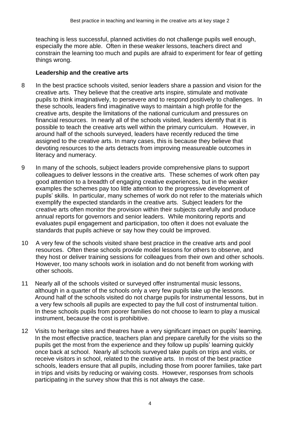teaching is less successful, planned activities do not challenge pupils well enough, especially the more able. Often in these weaker lessons, teachers direct and constrain the learning too much and pupils are afraid to experiment for fear of getting things wrong.

### **Leadership and the creative arts**

- 8 In the best practice schools visited, senior leaders share a passion and vision for the creative arts. They believe that the creative arts inspire, stimulate and motivate pupils to think imaginatively, to persevere and to respond positively to challenges. In these schools, leaders find imaginative ways to maintain a high profile for the creative arts, despite the limitations of the national curriculum and pressures on financial resources. In nearly all of the schools visited, leaders identify that it is possible to teach the creative arts well within the primary curriculum. However, in around half of the schools surveyed, leaders have recently reduced the time assigned to the creative arts. In many cases, this is because they believe that devoting resources to the arts detracts from improving measureable outcomes in literacy and numeracy.
- 9 In many of the schools, subject leaders provide comprehensive plans to support colleagues to deliver lessons in the creative arts. These schemes of work often pay good attention to a breadth of engaging creative experiences, but in the weaker examples the schemes pay too little attention to the progressive development of pupils' skills. In particular, many schemes of work do not refer to the materials which exemplify the expected standards in the creative arts. Subject leaders for the creative arts often monitor the provision within their subjects carefully and produce annual reports for governors and senior leaders. While monitoring reports and evaluates pupil engagement and participation, too often it does not evaluate the standards that pupils achieve or say how they could be improved.
- 10 A very few of the schools visited share best practice in the creative arts and pool resources. Often these schools provide model lessons for others to observe, and they host or deliver training sessions for colleagues from their own and other schools. However, too many schools work in isolation and do not benefit from working with other schools.
- 11 Nearly all of the schools visited or surveyed offer instrumental music lessons, although in a quarter of the schools only a very few pupils take up the lessons. Around half of the schools visited do not charge pupils for instrumental lessons, but in a very few schools all pupils are expected to pay the full cost of instrumental tuition. In these schools pupils from poorer families do not choose to learn to play a musical instrument, because the cost is prohibitive.
- 12 Visits to heritage sites and theatres have a very significant impact on pupils' learning. In the most effective practice, teachers plan and prepare carefully for the visits so the pupils get the most from the experience and they follow up pupils' learning quickly once back at school. Nearly all schools surveyed take pupils on trips and visits, or receive visitors in school, related to the creative arts. In most of the best practice schools, leaders ensure that all pupils, including those from poorer families, take part in trips and visits by reducing or waiving costs. However, responses from schools participating in the survey show that this is not always the case.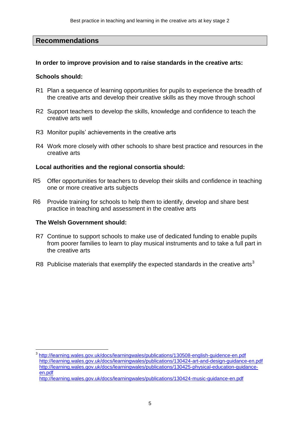### **Recommendations**

#### **In order to improve provision and to raise standards in the creative arts:**

#### **Schools should:**

- R1 Plan a sequence of learning opportunities for pupils to experience the breadth of the creative arts and develop their creative skills as they move through school
- R2 Support teachers to develop the skills, knowledge and confidence to teach the creative arts well
- R3 Monitor pupils' achievements in the creative arts
- R4 Work more closely with other schools to share best practice and resources in the creative arts

#### **Local authorities and the regional consortia should:**

- R5 Offer opportunities for teachers to develop their skills and confidence in teaching one or more creative arts subjects
- R6 Provide training for schools to help them to identify, develop and share best practice in teaching and assessment in the creative arts

#### **The Welsh Government should:**

 $\overline{a}$ 

- R7 Continue to support schools to make use of dedicated funding to enable pupils from poorer families to learn to play musical instruments and to take a full part in the creative arts
- R8 Publicise materials that exemplify the expected standards in the creative arts<sup>3</sup>

<sup>3</sup> <http://learning.wales.gov.uk/docs/learningwales/publications/130508-english-guidence-en.pdf> <http://learning.wales.gov.uk/docs/learningwales/publications/130424-art-and-design-guidance-en.pdf> [http://learning.wales.gov.uk/docs/learningwales/publications/130425-physical-education-guidance](http://learning.wales.gov.uk/docs/learningwales/publications/130425-physical-education-guidance-en.pdf)[en.pdf](http://learning.wales.gov.uk/docs/learningwales/publications/130425-physical-education-guidance-en.pdf) <http://learning.wales.gov.uk/docs/learningwales/publications/130424-music-guidance-en.pdf>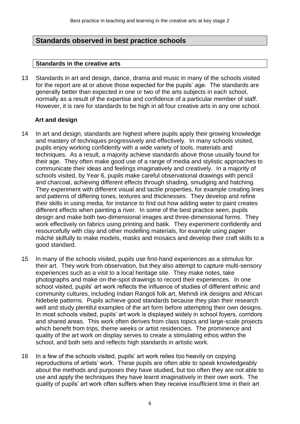## **Standards observed in best practice schools**

### **Standards in the creative arts**

13 Standards in art and design, dance, drama and music in many of the schools visited for the report are at or above those expected for the pupils' age. The standards are generally better than expected in one or two of the arts subjects in each school, normally as a result of the expertise and confidence of a particular member of staff. However, it is rare for standards to be high in all four creative arts in any one school.

### **Art and design**

- 14 In art and design, standards are highest where pupils apply their growing knowledge and mastery of techniques progressively and effectively. In many schools visited, pupils enjoy working confidently with a wide variety of tools, materials and techniques. As a result, a majority achieve standards above those usually found for their age. They often make good use of a range of media and stylistic approaches to communicate their ideas and feelings imaginatively and creatively. In a majority of schools visited, by Year 6, pupils make careful observational drawings with pencil and charcoal, achieving different effects through shading, smudging and hatching. They experiment with different visual and tactile properties, for example creating lines and patterns of differing tones, textures and thicknesses. They develop and refine their skills in using media, for instance to find out how adding water to paint creates different effects when painting a river. In some of the best practice seen, pupils design and make both two-dimensional images and three-dimensional forms. They work effectively on fabrics using printing and batik. They experiment confidently and resourcefully with clay and other modelling materials, for example using papier mâché skilfully to make models, masks and mosaics and develop their craft skills to a good standard.
- 15 In many of the schools visited, pupils use first-hand experiences as a stimulus for their art. They work from observation, but they also attempt to capture multi-sensory experiences such as a visit to a local heritage site. They make notes, take photographs and make on-the-spot drawings to record their experiences. In one school visited, pupils' art work reflects the influence of studies of different ethnic and community cultures, including Indian Rangoli folk art, Mehndi ink designs and African Ndebele patterns. Pupils achieve good standards because they plan their research well and study plentiful examples of the art form before attempting their own designs. In most schools visited, pupils' art work is displayed widely in school foyers, corridors and shared areas. This work often derives from class topics and large-scale projects which benefit from trips, theme weeks or artist residencies. The prominence and quality of the art work on display serves to create a stimulating ethos within the school, and both sets and reflects high standards in artistic work.
- 16 In a few of the schools visited, pupils' art work relies too heavily on copying reproductions of artists' work. These pupils are often able to speak knowledgeably about the methods and purposes they have studied, but too often they are not able to use and apply the techniques they have learnt imaginatively in their own work. The quality of pupils' art work often suffers when they receive insufficient time in their art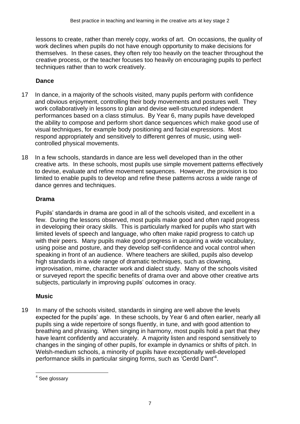lessons to create, rather than merely copy, works of art. On occasions, the quality of work declines when pupils do not have enough opportunity to make decisions for themselves. In these cases, they often rely too heavily on the teacher throughout the creative process, or the teacher focuses too heavily on encouraging pupils to perfect techniques rather than to work creatively.

## **Dance**

- 17 In dance, in a majority of the schools visited, many pupils perform with confidence and obvious enjoyment, controlling their body movements and postures well. They work collaboratively in lessons to plan and devise well-structured independent performances based on a class stimulus. By Year 6, many pupils have developed the ability to compose and perform short dance sequences which make good use of visual techniques, for example body positioning and facial expressions. Most respond appropriately and sensitively to different genres of music, using wellcontrolled physical movements.
- 18 In a few schools, standards in dance are less well developed than in the other creative arts. In these schools, most pupils use simple movement patterns effectively to devise, evaluate and refine movement sequences. However, the provision is too limited to enable pupils to develop and refine these patterns across a wide range of dance genres and techniques.

## **Drama**

Pupils' standards in drama are good in all of the schools visited, and excellent in a few. During the lessons observed, most pupils make good and often rapid progress in developing their oracy skills. This is particularly marked for pupils who start with limited levels of speech and language, who often make rapid progress to catch up with their peers. Many pupils make good progress in acquiring a wide vocabulary, using poise and posture, and they develop self-confidence and vocal control when speaking in front of an audience. Where teachers are skilled, pupils also develop high standards in a wide range of dramatic techniques, such as clowning, improvisation, mime, character work and dialect study. Many of the schools visited or surveyed report the specific benefits of drama over and above other creative arts subjects, particularly in improving pupils' outcomes in oracy.

## **Music**

19 In many of the schools visited, standards in singing are well above the levels expected for the pupils' age. In these schools, by Year 6 and often earlier, nearly all pupils sing a wide repertoire of songs fluently, in tune, and with good attention to breathing and phrasing. When singing in harmony, most pupils hold a part that they have learnt confidently and accurately. A majority listen and respond sensitively to changes in the singing of other pupils, for example in dynamics or shifts of pitch. In Welsh-medium schools, a minority of pupils have exceptionally well-developed performance skills in particular singing forms, such as 'Cerdd Dant'<sup>4</sup>.

 4 See glossary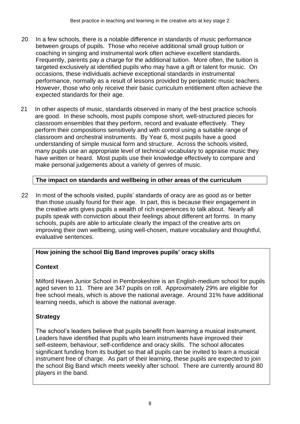- 20 In a few schools, there is a notable difference in standards of music performance between groups of pupils. Those who receive additional small group tuition or coaching in singing and instrumental work often achieve excellent standards. Frequently, parents pay a charge for the additional tuition. More often, the tuition is targeted exclusively at identified pupils who may have a gift or talent for music. On occasions, these individuals achieve exceptional standards in instrumental performance, normally as a result of lessons provided by peripatetic music teachers. However, those who only receive their basic curriculum entitlement often achieve the expected standards for their age.
- 21 In other aspects of music, standards observed in many of the best practice schools are good. In these schools, most pupils compose short, well-structured pieces for classroom ensembles that they perform, record and evaluate effectively. They perform their compositions sensitively and with control using a suitable range of classroom and orchestral instruments. By Year 6, most pupils have a good understanding of simple musical form and structure. Across the schools visited, many pupils use an appropriate level of technical vocabulary to appraise music they have written or heard. Most pupils use their knowledge effectively to compare and make personal judgements about a variety of genres of music.

## **The impact on standards and wellbeing in other areas of the curriculum**

22 In most of the schools visited, pupils' standards of oracy are as good as or better than those usually found for their age. In part, this is because their engagement in the creative arts gives pupils a wealth of rich experiences to talk about. Nearly all pupils speak with conviction about their feelings about different art forms. In many schools, pupils are able to articulate clearly the impact of the creative arts on improving their own wellbeing, using well-chosen, mature vocabulary and thoughtful, evaluative sentences.

## **How joining the school Big Band improves pupils' oracy skills**

## **Context**

Milford Haven Junior School in Pembrokeshire is an English-medium school for pupils aged seven to 11. There are 347 pupils on roll. Approximately 29% are eligible for free school meals, which is above the national average. Around 31% have additional learning needs, which is above the national average.

## **Strategy**

The school's leaders believe that pupils benefit from learning a musical instrument. Leaders have identified that pupils who learn instruments have improved their self-esteem, behaviour, self-confidence and oracy skills. The school allocates significant funding from its budget so that all pupils can be invited to learn a musical instrument free of charge. As part of their learning, these pupils are expected to join the school Big Band which meets weekly after school. There are currently around 80 players in the band.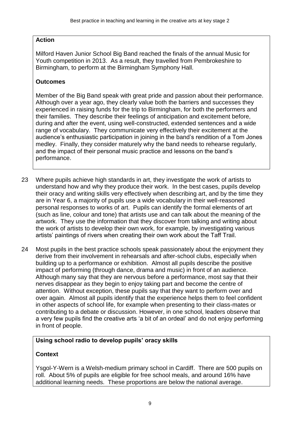### **Action**

Milford Haven Junior School Big Band reached the finals of the annual Music for Youth competition in 2013. As a result, they travelled from Pembrokeshire to Birmingham, to perform at the Birmingham Symphony Hall.

## **Outcomes**

Member of the Big Band speak with great pride and passion about their performance. Although over a year ago, they clearly value both the barriers and successes they experienced in raising funds for the trip to Birmingham, for both the performers and their families. They describe their feelings of anticipation and excitement before, during and after the event, using well-constructed, extended sentences and a wide range of vocabulary. They communicate very effectively their excitement at the audience's enthusiastic participation in joining in the band's rendition of a Tom Jones medley. Finally, they consider maturely why the band needs to rehearse regularly, and the impact of their personal music practice and lessons on the band's performance.

- 23 Where pupils achieve high standards in art, they investigate the work of artists to understand how and why they produce their work. In the best cases, pupils develop their oracy and writing skills very effectively when describing art, and by the time they are in Year 6, a majority of pupils use a wide vocabulary in their well-reasoned personal responses to works of art. Pupils can identify the formal elements of art (such as line, colour and tone) that artists use and can talk about the meaning of the artwork. They use the information that they discover from talking and writing about the work of artists to develop their own work, for example, by investigating various artists' paintings of rivers when creating their own work about the Taff Trail.
- 24 Most pupils in the best practice schools speak passionately about the enjoyment they derive from their involvement in rehearsals and after-school clubs, especially when building up to a performance or exhibition. Almost all pupils describe the positive impact of performing (through dance, drama and music) in front of an audience. Although many say that they are nervous before a performance, most say that their nerves disappear as they begin to enjoy taking part and become the centre of attention. Without exception, these pupils say that they want to perform over and over again. Almost all pupils identify that the experience helps them to feel confident in other aspects of school life, for example when presenting to their class-mates or contributing to a debate or discussion. However, in one school, leaders observe that a very few pupils find the creative arts 'a bit of an ordeal' and do not enjoy performing in front of people.

## **Using school radio to develop pupils' oracy skills**

### **Context**

Ysgol-Y-Wern is a Welsh-medium primary school in Cardiff. There are 500 pupils on roll. About 5% of pupils are eligible for free school meals, and around 16% have additional learning needs. These proportions are below the national average.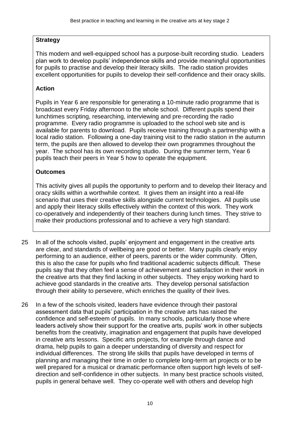### **Strategy**

This modern and well-equipped school has a purpose-built recording studio. Leaders plan work to develop pupils' independence skills and provide meaningful opportunities for pupils to practise and develop their literacy skills. The radio station provides excellent opportunities for pupils to develop their self-confidence and their oracy skills.

## **Action**

Pupils in Year 6 are responsible for generating a 10-minute radio programme that is broadcast every Friday afternoon to the whole school. Different pupils spend their lunchtimes scripting, researching, interviewing and pre-recording the radio programme. Every radio programme is uploaded to the school web site and is available for parents to download. Pupils receive training through a partnership with a local radio station. Following a one-day training visit to the radio station in the autumn term, the pupils are then allowed to develop their own programmes throughout the year. The school has its own recording studio. During the summer term, Year 6 pupils teach their peers in Year 5 how to operate the equipment.

## **Outcomes**

This activity gives all pupils the opportunity to perform and to develop their literacy and oracy skills within a worthwhile context. It gives them an insight into a real-life scenario that uses their creative skills alongside current technologies. All pupils use and apply their literacy skills effectively within the context of this work. They work co-operatively and independently of their teachers during lunch times. They strive to make their productions professional and to achieve a very high standard.

- 25 In all of the schools visited, pupils' enjoyment and engagement in the creative arts are clear, and standards of wellbeing are good or better. Many pupils clearly enjoy performing to an audience, either of peers, parents or the wider community. Often, this is also the case for pupils who find traditional academic subjects difficult. These pupils say that they often feel a sense of achievement and satisfaction in their work in the creative arts that they find lacking in other subjects. They enjoy working hard to achieve good standards in the creative arts. They develop personal satisfaction through their ability to persevere, which enriches the quality of their lives.
- 26 In a few of the schools visited, leaders have evidence through their pastoral assessment data that pupils' participation in the creative arts has raised the confidence and self-esteem of pupils. In many schools, particularly those where leaders actively show their support for the creative arts, pupils' work in other subjects benefits from the creativity, imagination and engagement that pupils have developed in creative arts lessons. Specific arts projects, for example through dance and drama, help pupils to gain a deeper understanding of diversity and respect for individual differences. The strong life skills that pupils have developed in terms of planning and managing their time in order to complete long-term art projects or to be well prepared for a musical or dramatic performance often support high levels of selfdirection and self-confidence in other subjects. In many best practice schools visited, pupils in general behave well. They co-operate well with others and develop high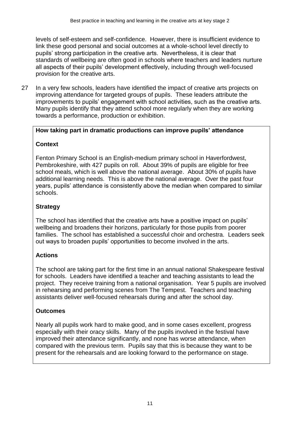levels of self-esteem and self-confidence. However, there is insufficient evidence to link these good personal and social outcomes at a whole-school level directly to pupils' strong participation in the creative arts. Nevertheless, it is clear that standards of wellbeing are often good in schools where teachers and leaders nurture all aspects of their pupils' development effectively, including through well-focused provision for the creative arts.

27 In a very few schools, leaders have identified the impact of creative arts projects on improving attendance for targeted groups of pupils. These leaders attribute the improvements to pupils' engagement with school activities, such as the creative arts. Many pupils identify that they attend school more regularly when they are working towards a performance, production or exhibition.

### **How taking part in dramatic productions can improve pupils' attendance**

### **Context**

Fenton Primary School is an English-medium primary school in Haverfordwest, Pembrokeshire, with 427 pupils on roll. About 39% of pupils are eligible for free school meals, which is well above the national average. About 30% of pupils have additional learning needs. This is above the national average. Over the past four years, pupils' attendance is consistently above the median when compared to similar schools.

## **Strategy**

The school has identified that the creative arts have a positive impact on pupils' wellbeing and broadens their horizons, particularly for those pupils from poorer families. The school has established a successful choir and orchestra. Leaders seek out ways to broaden pupils' opportunities to become involved in the arts.

## **Actions**

The school are taking part for the first time in an annual national Shakespeare festival for schools. Leaders have identified a teacher and teaching assistants to lead the project. They receive training from a national organisation. Year 5 pupils are involved in rehearsing and performing scenes from The Tempest. Teachers and teaching assistants deliver well-focused rehearsals during and after the school day.

### **Outcomes**

Nearly all pupils work hard to make good, and in some cases excellent, progress especially with their oracy skills. Many of the pupils involved in the festival have improved their attendance significantly, and none has worse attendance, when compared with the previous term. Pupils say that this is because they want to be present for the rehearsals and are looking forward to the performance on stage.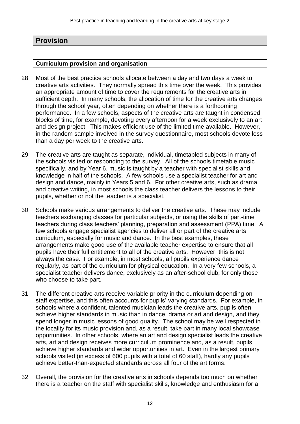## **Provision**

#### **Curriculum provision and organisation**

- 28 Most of the best practice schools allocate between a day and two days a week to creative arts activities. They normally spread this time over the week. This provides an appropriate amount of time to cover the requirements for the creative arts in sufficient depth. In many schools, the allocation of time for the creative arts changes through the school year, often depending on whether there is a forthcoming performance. In a few schools, aspects of the creative arts are taught in condensed blocks of time, for example, devoting every afternoon for a week exclusively to an art and design project. This makes efficient use of the limited time available. However, in the random sample involved in the survey questionnaire, most schools devote less than a day per week to the creative arts.
- 29 The creative arts are taught as separate, individual, timetabled subjects in many of the schools visited or responding to the survey. All of the schools timetable music specifically, and by Year 6, music is taught by a teacher with specialist skills and knowledge in half of the schools. A few schools use a specialist teacher for art and design and dance, mainly in Years 5 and 6. For other creative arts, such as drama and creative writing, in most schools the class teacher delivers the lessons to their pupils, whether or not the teacher is a specialist.
- 30 Schools make various arrangements to deliver the creative arts. These may include teachers exchanging classes for particular subjects, or using the skills of part-time teachers during class teachers' planning, preparation and assessment (PPA) time. A few schools engage specialist agencies to deliver all or part of the creative arts curriculum, especially for music and dance. In the best examples, these arrangements make good use of the available teacher expertise to ensure that all pupils have their full entitlement to all of the creative arts. However, this is not always the case. For example, in most schools, all pupils experience dance regularly, as part of the curriculum for physical education. In a very few schools, a specialist teacher delivers dance, exclusively as an after-school club, for only those who choose to take part.
- 31 The different creative arts receive variable priority in the curriculum depending on staff expertise, and this often accounts for pupils' varying standards. For example, in schools where a confident, talented musician leads the creative arts, pupils often achieve higher standards in music than in dance, drama or art and design, and they spend longer in music lessons of good quality. The school may be well respected in the locality for its music provision and, as a result, take part in many local showcase opportunities. In other schools, where an art and design specialist leads the creative arts, art and design receives more curriculum prominence and, as a result, pupils achieve higher standards and wider opportunities in art. Even in the largest primary schools visited (in excess of 600 pupils with a total of 60 staff), hardly any pupils achieve better-than-expected standards across all four of the art forms.
- 32 Overall, the provision for the creative arts in schools depends too much on whether there is a teacher on the staff with specialist skills, knowledge and enthusiasm for a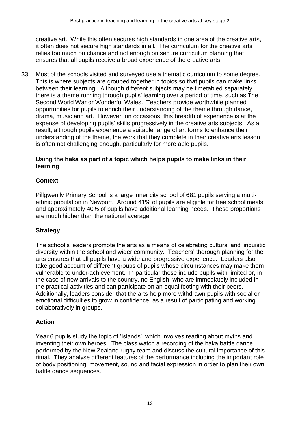creative art. While this often secures high standards in one area of the creative arts, it often does not secure high standards in all. The curriculum for the creative arts relies too much on chance and not enough on secure curriculum planning that ensures that all pupils receive a broad experience of the creative arts.

33 Most of the schools visited and surveyed use a thematic curriculum to some degree. This is where subjects are grouped together in topics so that pupils can make links between their learning. Although different subjects may be timetabled separately, there is a theme running through pupils' learning over a period of time, such as The Second World War or Wonderful Wales. Teachers provide worthwhile planned opportunities for pupils to enrich their understanding of the theme through dance, drama, music and art. However, on occasions, this breadth of experience is at the expense of developing pupils' skills progressively in the creative arts subjects. As a result, although pupils experience a suitable range of art forms to enhance their understanding of the theme, the work that they complete in their creative arts lesson is often not challenging enough, particularly for more able pupils.

### **Using the haka as part of a topic which helps pupils to make links in their learning**

## **Context**

Pillgwenlly Primary School is a large inner city school of 681 pupils serving a multiethnic population in Newport. Around 41% of pupils are eligible for free school meals, and approximately 40% of pupils have additional learning needs. These proportions are much higher than the national average.

## **Strategy**

The school's leaders promote the arts as a means of celebrating cultural and linguistic diversity within the school and wider community. Teachers' thorough planning for the arts ensures that all pupils have a wide and progressive experience. Leaders also take good account of different groups of pupils whose circumstances may make them vulnerable to under-achievement. In particular these include pupils with limited or, in the case of new arrivals to the country, no English, who are immediately included in the practical activities and can participate on an equal footing with their peers. Additionally, leaders consider that the arts help more withdrawn pupils with social or emotional difficulties to grow in confidence, as a result of participating and working collaboratively in groups.

## **Action**

Year 6 pupils study the topic of 'Islands', which involves reading about myths and inventing their own heroes. The class watch a recording of the haka battle dance performed by the New Zealand rugby team and discuss the cultural importance of this ritual. They analyse different features of the performance including the important role of body positioning, movement, sound and facial expression in order to plan their own battle dance sequences.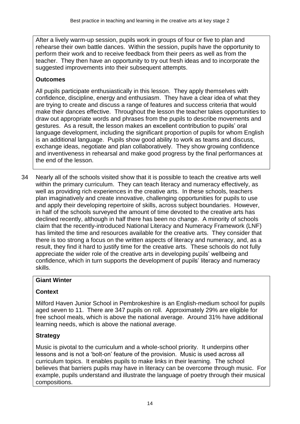After a lively warm-up session, pupils work in groups of four or five to plan and rehearse their own battle dances. Within the session, pupils have the opportunity to perform their work and to receive feedback from their peers as well as from the teacher. They then have an opportunity to try out fresh ideas and to incorporate the suggested improvements into their subsequent attempts.

## **Outcomes**

All pupils participate enthusiastically in this lesson. They apply themselves with confidence, discipline, energy and enthusiasm. They have a clear idea of what they are trying to create and discuss a range of features and success criteria that would make their dances effective. Throughout the lesson the teacher takes opportunities to draw out appropriate words and phrases from the pupils to describe movements and gestures. As a result, the lesson makes an excellent contribution to pupils' oral language development, including the significant proportion of pupils for whom English is an additional language. Pupils show good ability to work as teams and discuss, exchange ideas, negotiate and plan collaboratively. They show growing confidence and inventiveness in rehearsal and make good progress by the final performances at the end of the lesson.

34 Nearly all of the schools visited show that it is possible to teach the creative arts well within the primary curriculum. They can teach literacy and numeracy effectively, as well as providing rich experiences in the creative arts. In these schools, teachers plan imaginatively and create innovative, challenging opportunities for pupils to use and apply their developing repertoire of skills, across subject boundaries. However, in half of the schools surveyed the amount of time devoted to the creative arts has declined recently, although in half there has been no change. A minority of schools claim that the recently-introduced National Literacy and Numeracy Framework (LNF) has limited the time and resources available for the creative arts. They consider that there is too strong a focus on the written aspects of literacy and numeracy, and, as a result, they find it hard to justify time for the creative arts. These schools do not fully appreciate the wider role of the creative arts in developing pupils' wellbeing and confidence, which in turn supports the development of pupils' literacy and numeracy skills.

## **Giant Winter**

## **Context**

Milford Haven Junior School in Pembrokeshire is an English-medium school for pupils aged seven to 11. There are 347 pupils on roll. Approximately 29% are eligible for free school meals, which is above the national average. Around 31% have additional learning needs, which is above the national average.

## **Strategy**

Music is pivotal to the curriculum and a whole-school priority. It underpins other lessons and is not a 'bolt-on' feature of the provision. Music is used across all curriculum topics. It enables pupils to make links in their learning. The school believes that barriers pupils may have in literacy can be overcome through music. For example, pupils understand and illustrate the language of poetry through their musical compositions.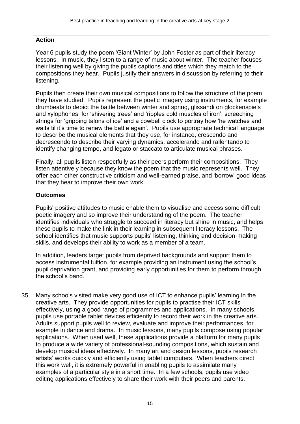### **Action**

Year 6 pupils study the poem 'Giant Winter' by John Foster as part of their literacy lessons. In music, they listen to a range of music about winter. The teacher focuses their listening well by giving the pupils captions and titles which they match to the compositions they hear. Pupils justify their answers in discussion by referring to their listening.

Pupils then create their own musical compositions to follow the structure of the poem they have studied. Pupils represent the poetic imagery using instruments, for example drumbeats to depict the battle between winter and spring, glissandi on glockenspiels and xylophones for 'shivering trees' and 'ripples cold muscles of iron', screeching strings for 'gripping talons of ice' and a cowbell clock to portray how 'he watches and waits til it's time to renew the battle again'. Pupils use appropriate technical language to describe the musical elements that they use, for instance, crescendo and decrescendo to describe their varying dynamics, accelerando and rallentando to identify changing tempo, and legato or staccato to articulate musical phrases.

Finally, all pupils listen respectfully as their peers perform their compositions. They listen attentively because they know the poem that the music represents well. They offer each other constructive criticism and well-earned praise, and 'borrow' good ideas that they hear to improve their own work.

### **Outcomes**

Pupils' positive attitudes to music enable them to visualise and access some difficult poetic imagery and so improve their understanding of the poem. The teacher identifies individuals who struggle to succeed in literacy but shine in music, and helps these pupils to make the link in their learning in subsequent literacy lessons. The school identifies that music supports pupils' listening, thinking and decision-making skills, and develops their ability to work as a member of a team.

In addition, leaders target pupils from deprived backgrounds and support them to access instrumental tuition, for example providing an instrument using the school's pupil deprivation grant, and providing early opportunities for them to perform through the school's band.

35 Many schools visited make very good use of ICT to enhance pupils' learning in the creative arts. They provide opportunities for pupils to practise their ICT skills effectively, using a good range of programmes and applications. In many schools, pupils use portable tablet devices efficiently to record their work in the creative arts. Adults support pupils well to review, evaluate and improve their performances, for example in dance and drama. In music lessons, many pupils compose using popular applications. When used well, these applications provide a platform for many pupils to produce a wide variety of professional-sounding compositions, which sustain and develop musical ideas effectively. In many art and design lessons, pupils research artists' works quickly and efficiently using tablet computers. When teachers direct this work well, it is extremely powerful in enabling pupils to assimilate many examples of a particular style in a short time. In a few schools, pupils use video editing applications effectively to share their work with their peers and parents.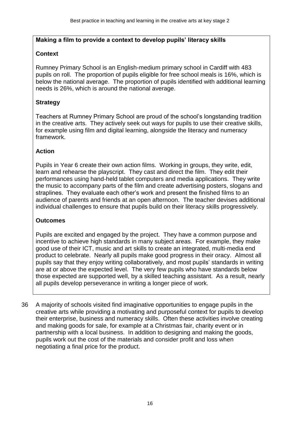### **Making a film to provide a context to develop pupils' literacy skills**

### **Context**

Rumney Primary School is an English-medium primary school in Cardiff with 483 pupils on roll. The proportion of pupils eligible for free school meals is 16%, which is below the national average. The proportion of pupils identified with additional learning needs is 26%, which is around the national average.

### **Strategy**

Teachers at Rumney Primary School are proud of the school's longstanding tradition in the creative arts. They actively seek out ways for pupils to use their creative skills, for example using film and digital learning, alongside the literacy and numeracy framework.

### **Action**

Pupils in Year 6 create their own action films. Working in groups, they write, edit, learn and rehearse the playscript. They cast and direct the film. They edit their performances using hand-held tablet computers and media applications. They write the music to accompany parts of the film and create advertising posters, slogans and straplines. They evaluate each other's work and present the finished films to an audience of parents and friends at an open afternoon. The teacher devises additional individual challenges to ensure that pupils build on their literacy skills progressively.

### **Outcomes**

Pupils are excited and engaged by the project. They have a common purpose and incentive to achieve high standards in many subject areas. For example, they make good use of their ICT, music and art skills to create an integrated, multi-media end product to celebrate. Nearly all pupils make good progress in their oracy. Almost all pupils say that they enjoy writing collaboratively, and most pupils' standards in writing are at or above the expected level. The very few pupils who have standards below those expected are supported well, by a skilled teaching assistant. As a result, nearly all pupils develop perseverance in writing a longer piece of work.

36 A majority of schools visited find imaginative opportunities to engage pupils in the creative arts while providing a motivating and purposeful context for pupils to develop their enterprise, business and numeracy skills. Often these activities involve creating and making goods for sale, for example at a Christmas fair, charity event or in partnership with a local business. In addition to designing and making the goods, pupils work out the cost of the materials and consider profit and loss when negotiating a final price for the product.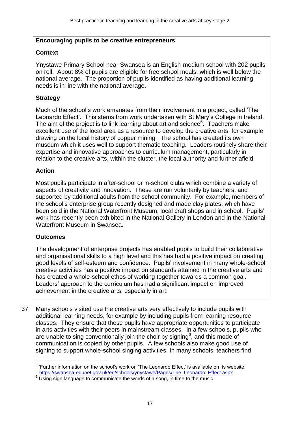#### **Encouraging pupils to be creative entrepreneurs**

### **Context**

Ynystawe Primary School near Swansea is an English-medium school with 202 pupils on roll. About 8% of pupils are eligible for free school meals, which is well below the national average. The proportion of pupils identified as having additional learning needs is in line with the national average.

### **Strategy**

Much of the school's work emanates from their involvement in a project, called 'The Leonardo Effect'. This stems from work undertaken with St Mary's College in Ireland. The aim of the project is to link learning about art and science<sup>5</sup>. Teachers make excellent use of the local area as a resource to develop the creative arts, for example drawing on the local history of copper mining. The school has created its own museum which it uses well to support thematic teaching. Leaders routinely share their expertise and innovative approaches to curriculum management, particularly in relation to the creative arts, within the cluster, the local authority and further afield.

### **Action**

Most pupils participate in after-school or in-school clubs which combine a variety of aspects of creativity and innovation. These are run voluntarily by teachers, and supported by additional adults from the school community. For example, members of the school's enterprise group recently designed and made clay plates, which have been sold in the National Waterfront Museum, local craft shops and in school. Pupils' work has recently been exhibited in the National Gallery in London and in the National Waterfront Museum in Swansea.

### **Outcomes**

 $\overline{a}$ 

The development of enterprise projects has enabled pupils to build their collaborative and organisational skills to a high level and this has had a positive impact on creating good levels of self-esteem and confidence. Pupils' involvement in many whole-school creative activities has a positive impact on standards attained in the creative arts and has created a whole-school ethos of working together towards a common goal. Leaders' approach to the curriculum has had a significant impact on improved achievement in the creative arts, especially in art.

37 Many schools visited use the creative arts very effectively to include pupils with additional learning needs, for example by including pupils from learning resource classes. They ensure that these pupils have appropriate opportunities to participate in arts activities with their peers in mainstream classes. In a few schools, pupils who are unable to sing conventionally join the choir by signing<sup>6</sup>, and this mode of communication is copied by other pupils. A few schools also make good use of signing to support whole-school singing activities. In many schools, teachers find

<sup>&</sup>lt;sup>5</sup> 'Further information on the school's work on 'The Leonardo Effect' is available on its website: [https://swansea-edunet.gov.uk/en/schools/ynystawe/Pages/The\\_Leonardo\\_Effect.aspx](https://swansea-edunet.gov.uk/en/schools/ynystawe/Pages/The_Leonardo_Effect.aspx)

<sup>6</sup> Using sign language to communicate the words of a song, in time to the music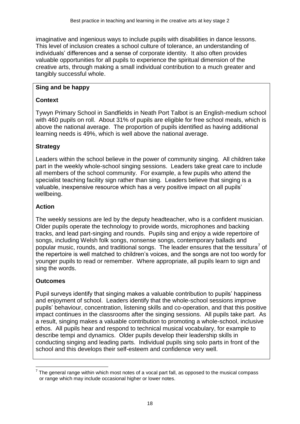imaginative and ingenious ways to include pupils with disabilities in dance lessons. This level of inclusion creates a school culture of tolerance, an understanding of individuals' differences and a sense of corporate identity. It also often provides valuable opportunities for all pupils to experience the spiritual dimension of the creative arts, through making a small individual contribution to a much greater and tangibly successful whole.

### **Sing and be happy**

### **Context**

Tywyn Primary School in Sandfields in Neath Port Talbot is an English-medium school with 460 pupils on roll. About 31% of pupils are eligible for free school meals, which is above the national average. The proportion of pupils identified as having additional learning needs is 49%, which is well above the national average.

### **Strategy**

Leaders within the school believe in the power of community singing. All children take part in the weekly whole-school singing sessions. Leaders take great care to include all members of the school community. For example, a few pupils who attend the specialist teaching facility sign rather than sing. Leaders believe that singing is a valuable, inexpensive resource which has a very positive impact on all pupils' wellbeing.

### **Action**

The weekly sessions are led by the deputy headteacher, who is a confident musician. Older pupils operate the technology to provide words, microphones and backing tracks, and lead part-singing and rounds. Pupils sing and enjoy a wide repertoire of songs, including Welsh folk songs, nonsense songs, contemporary ballads and popular music, rounds, and traditional songs. The leader ensures that the tessitura<sup>7</sup> of the repertoire is well matched to children's voices, and the songs are not too wordy for younger pupils to read or remember. Where appropriate, all pupils learn to sign and sing the words.

### **Outcomes**

Pupil surveys identify that singing makes a valuable contribution to pupils' happiness and enjoyment of school. Leaders identify that the whole-school sessions improve pupils' behaviour, concentration, listening skills and co-operation, and that this positive impact continues in the classrooms after the singing sessions. All pupils take part. As a result, singing makes a valuable contribution to promoting a whole-school, inclusive ethos. All pupils hear and respond to technical musical vocabulary, for example to describe tempi and dynamics. Older pupils develop their leadership skills in conducting singing and leading parts. Individual pupils sing solo parts in front of the school and this develops their self-esteem and confidence very well.

 $\overline{a}$ 7 The general range within which most notes of a vocal part fall, as opposed to the musical compass or range which may include occasional higher or lower notes.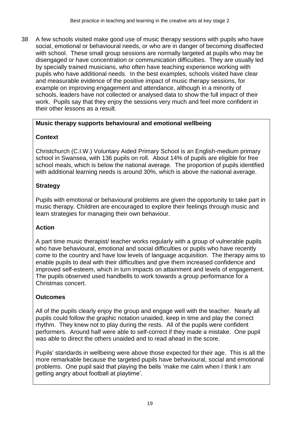38 A few schools visited make good use of music therapy sessions with pupils who have social, emotional or behavioural needs, or who are in danger of becoming disaffected with school. These small group sessions are normally targeted at pupils who may be disengaged or have concentration or communication difficulties. They are usually led by specially trained musicians, who often have teaching experience working with pupils who have additional needs. In the best examples, schools visited have clear and measurable evidence of the positive impact of music therapy sessions, for example on improving engagement and attendance, although in a minority of schools, leaders have not collected or analysed data to show the full impact of their work. Pupils say that they enjoy the sessions very much and feel more confident in their other lessons as a result.

## **Music therapy supports behavioural and emotional wellbeing**

## **Context**

Christchurch (C.I.W.) Voluntary Aided Primary School is an English-medium primary school in Swansea, with 136 pupils on roll. About 14% of pupils are eligible for free school meals, which is below the national average. The proportion of pupils identified with additional learning needs is around 30%, which is above the national average.

## **Strategy**

Pupils with emotional or behavioural problems are given the opportunity to take part in music therapy. Children are encouraged to explore their feelings through music and learn strategies for managing their own behaviour.

## **Action**

A part time music therapist/ teacher works regularly with a group of vulnerable pupils who have behavioural, emotional and social difficulties or pupils who have recently come to the country and have low levels of language acquisition. The therapy aims to enable pupils to deal with their difficulties and give them increased confidence and improved self-esteem, which in turn impacts on attainment and levels of engagement. The pupils observed used handbells to work towards a group performance for a Christmas concert.

## **Outcomes**

All of the pupils clearly enjoy the group and engage well with the teacher. Nearly all pupils could follow the graphic notation unaided, keep in time and play the correct rhythm. They knew not to play during the rests. All of the pupils were confident performers. Around half were able to self-correct if they made a mistake. One pupil was able to direct the others unaided and to read ahead in the score.

Pupils' standards in wellbeing were above those expected for their age. This is all the more remarkable because the targeted pupils have behavioural, social and emotional problems. One pupil said that playing the bells 'make me calm when I think I am getting angry about football at playtime'.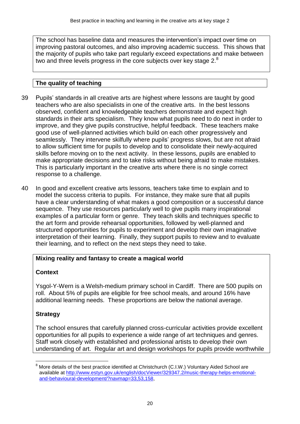The school has baseline data and measures the intervention's impact over time on improving pastoral outcomes, and also improving academic success. This shows that the majority of pupils who take part regularly exceed expectations and make between two and three levels progress in the core subjects over key stage  $2<sup>8</sup>$ 

### **The quality of teaching**

- 39 Pupils' standards in all creative arts are highest where lessons are taught by good teachers who are also specialists in one of the creative arts. In the best lessons observed, confident and knowledgeable teachers demonstrate and expect high standards in their arts specialism. They know what pupils need to do next in order to improve, and they give pupils constructive, helpful feedback. These teachers make good use of well-planned activities which build on each other progressively and seamlessly. They intervene skilfully where pupils' progress slows, but are not afraid to allow sufficient time for pupils to develop and to consolidate their newly-acquired skills before moving on to the next activity. In these lessons, pupils are enabled to make appropriate decisions and to take risks without being afraid to make mistakes. This is particularly important in the creative arts where there is no single correct response to a challenge.
- 40 In good and excellent creative arts lessons, teachers take time to explain and to model the success criteria to pupils. For instance, they make sure that all pupils have a clear understanding of what makes a good composition or a successful dance sequence. They use resources particularly well to give pupils many inspirational examples of a particular form or genre. They teach skills and techniques specific to the art form and provide rehearsal opportunities, followed by well-planned and structured opportunities for pupils to experiment and develop their own imaginative interpretation of their learning. Finally, they support pupils to review and to evaluate their learning, and to reflect on the next steps they need to take.

### **Mixing reality and fantasy to create a magical world**

#### **Context**

Ysgol-Y-Wern is a Welsh-medium primary school in Cardiff. There are 500 pupils on roll. About 5% of pupils are eligible for free school meals, and around 16% have additional learning needs. These proportions are below the national average.

### **Strategy**

 $\overline{a}$ 

The school ensures that carefully planned cross-curricular activities provide excellent opportunities for all pupils to experience a wide range of art techniques and genres. Staff work closely with established and professional artists to develop their own understanding of art. Regular art and design workshops for pupils provide worthwhile

More details of the best practice identified at Christchurch (C.I.W.) Voluntary Aided School are available at [http://www.estyn.gov.uk/english/docViewer/329347.2/music-therapy-helps-emotional](http://www.estyn.gov.uk/english/docViewer/329347.2/music-therapy-helps-emotional-and-behavioural-development/?navmap=33,53,158)[and-behavioural-development/?navmap=33,53,158,](http://www.estyn.gov.uk/english/docViewer/329347.2/music-therapy-helps-emotional-and-behavioural-development/?navmap=33,53,158)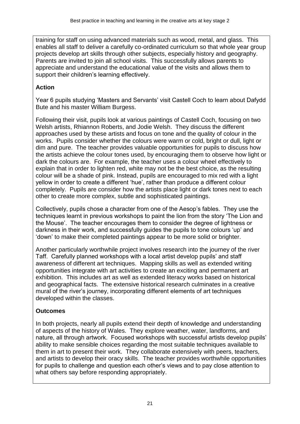training for staff on using advanced materials such as wood, metal, and glass. This enables all staff to deliver a carefully co-ordinated curriculum so that whole year group projects develop art skills through other subjects, especially history and geography. Parents are invited to join all school visits. This successfully allows parents to appreciate and understand the educational value of the visits and allows them to support their children's learning effectively.

## **Action**

Year 6 pupils studying 'Masters and Servants' visit Castell Coch to learn about Dafydd Bute and his master William Burgess.

Following their visit, pupils look at various paintings of Castell Coch, focusing on two Welsh artists, Rhiannon Roberts, and Jodie Welsh. They discuss the different approaches used by these artists and focus on tone and the quality of colour in the works. Pupils consider whether the colours were warm or cold, bright or dull, light or dim and pure. The teacher provides valuable opportunities for pupils to discuss how the artists achieve the colour tones used, by encouraging them to observe how light or dark the colours are. For example, the teacher uses a colour wheel effectively to explain that in order to lighten red, white may not be the best choice, as the resulting colour will be a shade of pink. Instead, pupils are encouraged to mix red with a light yellow in order to create a different 'hue', rather than produce a different colour completely. Pupils are consider how the artists place light or dark tones next to each other to create more complex, subtle and sophisticated paintings.

Collectively, pupils chose a character from one of the Aesop's fables. They use the techniques learnt in previous workshops to paint the lion from the story 'The Lion and the Mouse'. The teacher encourages them to consider the degree of lightness or darkness in their work, and successfully guides the pupils to tone colours 'up' and 'down' to make their completed paintings appear to be more solid or brighter.

Another particularly worthwhile project involves research into the journey of the river Taff. Carefully planned workshops with a local artist develop pupils' and staff awareness of different art techniques. Mapping skills as well as extended writing opportunities integrate with art activities to create an exciting and permanent art exhibition. This includes art as well as extended literacy works based on historical and geographical facts. The extensive historical research culminates in a creative mural of the river's journey, incorporating different elements of art techniques developed within the classes.

## **Outcomes**

In both projects, nearly all pupils extend their depth of knowledge and understanding of aspects of the history of Wales. They explore weather, water, landforms, and nature, all through artwork. Focused workshops with successful artists develop pupils' ability to make sensible choices regarding the most suitable techniques available to them in art to present their work. They collaborate extensively with peers, teachers, and artists to develop their oracy skills. The teacher provides worthwhile opportunities for pupils to challenge and question each other's views and to pay close attention to what others say before responding appropriately.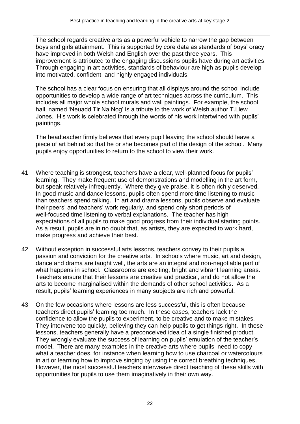The school regards creative arts as a powerful vehicle to narrow the gap between boys and girls attainment. This is supported by core data as standards of boys' oracy have improved in both Welsh and English over the past three years. This improvement is attributed to the engaging discussions pupils have during art activities. Through engaging in art activities, standards of behaviour are high as pupils develop into motivated, confident, and highly engaged individuals.

The school has a clear focus on ensuring that all displays around the school include opportunities to develop a wide range of art techniques across the curriculum. This includes all major whole school murals and wall paintings. For example, the school hall, named 'Neuadd Tir Na Nog' is a tribute to the work of Welsh author T.Llew Jones. His work is celebrated through the words of his work intertwined with pupils' paintings.

The headteacher firmly believes that every pupil leaving the school should leave a piece of art behind so that he or she becomes part of the design of the school. Many pupils enjoy opportunities to return to the school to view their work.

- 41 Where teaching is strongest, teachers have a clear, well-planned focus for pupils' learning. They make frequent use of demonstrations and modelling in the art form, but speak relatively infrequently. Where they give praise, it is often richly deserved. In good music and dance lessons, pupils often spend more time listening to music than teachers spend talking. In art and drama lessons, pupils observe and evaluate their peers' and teachers' work regularly, and spend only short periods of well-focused time listening to verbal explanations. The teacher has high expectations of all pupils to make good progress from their individual starting points. As a result, pupils are in no doubt that, as artists, they are expected to work hard, make progress and achieve their best.
- 42 Without exception in successful arts lessons, teachers convey to their pupils a passion and conviction for the creative arts. In schools where music, art and design, dance and drama are taught well, the arts are an integral and non-negotiable part of what happens in school. Classrooms are exciting, bright and vibrant learning areas. Teachers ensure that their lessons are creative and practical, and do not allow the arts to become marginalised within the demands of other school activities. As a result, pupils' learning experiences in many subjects are rich and powerful.
- 43 On the few occasions where lessons are less successful, this is often because teachers direct pupils' learning too much. In these cases, teachers lack the confidence to allow the pupils to experiment, to be creative and to make mistakes. They intervene too quickly, believing they can help pupils to get things right. In these lessons, teachers generally have a preconceived idea of a single finished product. They wrongly evaluate the success of learning on pupils' emulation of the teacher's model. There are many examples in the creative arts where pupils need to copy what a teacher does, for instance when learning how to use charcoal or watercolours in art or learning how to improve singing by using the correct breathing techniques. However, the most successful teachers interweave direct teaching of these skills with opportunities for pupils to use them imaginatively in their own way.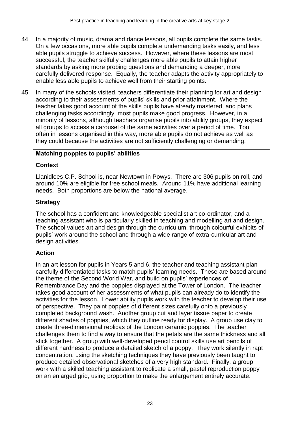- 44 In a majority of music, drama and dance lessons, all pupils complete the same tasks. On a few occasions, more able pupils complete undemanding tasks easily, and less able pupils struggle to achieve success. However, where these lessons are most successful, the teacher skilfully challenges more able pupils to attain higher standards by asking more probing questions and demanding a deeper, more carefully delivered response. Equally, the teacher adapts the activity appropriately to enable less able pupils to achieve well from their starting points.
- 45 In many of the schools visited, teachers differentiate their planning for art and design according to their assessments of pupils' skills and prior attainment. Where the teacher takes good account of the skills pupils have already mastered, and plans challenging tasks accordingly, most pupils make good progress. However, in a minority of lessons, although teachers organise pupils into ability groups, they expect all groups to access a carousel of the same activities over a period of time. Too often in lessons organised in this way, more able pupils do not achieve as well as they could because the activities are not sufficiently challenging or demanding.

### **Matching poppies to pupils' abilities**

### **Context**

Llanidloes C.P. School is, near Newtown in Powys. There are 306 pupils on roll, and around 10% are eligible for free school meals. Around 11% have additional learning needs. Both proportions are below the national average.

### **Strategy**

The school has a confident and knowledgeable specialist art co-ordinator, and a teaching assistant who is particularly skilled in teaching and modelling art and design. The school values art and design through the curriculum, through colourful exhibits of pupils' work around the school and through a wide range of extra-curricular art and design activities.

### **Action**

In an art lesson for pupils in Years 5 and 6, the teacher and teaching assistant plan carefully differentiated tasks to match pupils' learning needs. These are based around the theme of the Second World War, and build on pupils' experiences of Remembrance Day and the poppies displayed at the Tower of London. The teacher takes good account of her assessments of what pupils can already do to identify the activities for the lesson. Lower ability pupils work with the teacher to develop their use of perspective. They paint poppies of different sizes carefully onto a previously completed background wash. Another group cut and layer tissue paper to create different shades of poppies, which they outline ready for display. A group use clay to create three-dimensional replicas of the London ceramic poppies. The teacher challenges them to find a way to ensure that the petals are the same thickness and all stick together. A group with well-developed pencil control skills use art pencils of different hardness to produce a detailed sketch of a poppy. They work silently in rapt concentration, using the sketching techniques they have previously been taught to produce detailed observational sketches of a very high standard. Finally, a group work with a skilled teaching assistant to replicate a small, pastel reproduction poppy on an enlarged grid, using proportion to make the enlargement entirely accurate.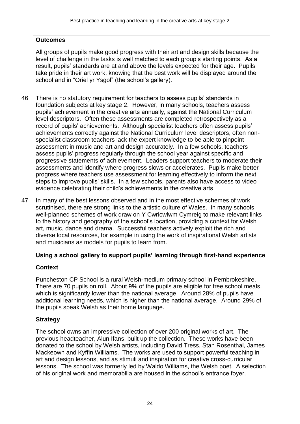### **Outcomes**

All groups of pupils make good progress with their art and design skills because the level of challenge in the tasks is well matched to each group's starting points. As a result, pupils' standards are at and above the levels expected for their age. Pupils take pride in their art work, knowing that the best work will be displayed around the school and in "Oriel yr Ysgol" (the school's gallery).

- 46 There is no statutory requirement for teachers to assess pupils' standards in foundation subjects at key stage 2. However, in many schools, teachers assess pupils' achievement in the creative arts annually, against the National Curriculum level descriptors. Often these assessments are completed retrospectively as a record of pupils' achievements. Although specialist teachers often assess pupils' achievements correctly against the National Curriculum level descriptors, often nonspecialist classroom teachers lack the expert knowledge to be able to pinpoint assessment in music and art and design accurately. In a few schools, teachers assess pupils' progress regularly through the school year against specific and progressive statements of achievement. Leaders support teachers to moderate their assessments and identify where progress slows or accelerates. Pupils make better progress where teachers use assessment for learning effectively to inform the next steps to improve pupils' skills. In a few schools, parents also have access to video evidence celebrating their child's achievements in the creative arts.
- 47 In many of the best lessons observed and in the most effective schemes of work scrutinised, there are strong links to the artistic culture of Wales. In many schools, well-planned schemes of work draw on Y Cwricwlwm Cymreig to make relevant links to the history and geography of the school's location, providing a context for Welsh art, music, dance and drama. Successful teachers actively exploit the rich and diverse local resources, for example in using the work of inspirational Welsh artists and musicians as models for pupils to learn from.

## **Using a school gallery to support pupils' learning through first-hand experience**

## **Context**

Puncheston CP School is a rural Welsh-medium primary school in Pembrokeshire. There are 70 pupils on roll. About 9% of the pupils are eligible for free school meals, which is significantly lower than the national average. Around 28% of pupils have additional learning needs, which is higher than the national average. Around 29% of the pupils speak Welsh as their home language.

## **Strategy**

The school owns an impressive collection of over 200 original works of art. The previous headteacher, Alun Ifans, built up the collection. These works have been donated to the school by Welsh artists, including David Tress, Stan Rosenthal, James Mackeown and Kyffin Williams. The works are used to support powerful teaching in art and design lessons, and as stimuli and inspiration for creative cross-curricular lessons. The school was formerly led by Waldo Williams, the Welsh poet. A selection of his original work and memorabilia are housed in the school's entrance foyer.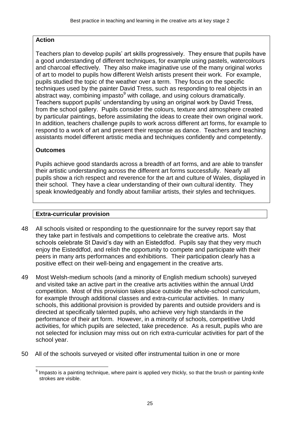### **Action**

Teachers plan to develop pupils' art skills progressively. They ensure that pupils have a good understanding of different techniques, for example using pastels, watercolours and charcoal effectively. They also make imaginative use of the many original works of art to model to pupils how different Welsh artists present their work. For example, pupils studied the topic of the weather over a term. They focus on the specific techniques used by the painter David Tress, such as responding to real objects in an abstract way, combining impasto $9$  with collage, and using colours dramatically. Teachers support pupils' understanding by using an original work by David Tress, from the school gallery. Pupils consider the colours, texture and atmosphere created by particular paintings, before assimilating the ideas to create their own original work. In addition, teachers challenge pupils to work across different art forms, for example to respond to a work of art and present their response as dance. Teachers and teaching assistants model different artistic media and techniques confidently and competently.

### **Outcomes**

 $\overline{a}$ 

Pupils achieve good standards across a breadth of art forms, and are able to transfer their artistic understanding across the different art forms successfully. Nearly all pupils show a rich respect and reverence for the art and culture of Wales, displayed in their school. They have a clear understanding of their own cultural identity. They speak knowledgeably and fondly about familiar artists, their styles and techniques.

### **Extra-curricular provision**

- 48 All schools visited or responding to the questionnaire for the survey report say that they take part in festivals and competitions to celebrate the creative arts. Most schools celebrate St David's day with an Eisteddfod. Pupils say that they very much enjoy the Eisteddfod, and relish the opportunity to compete and participate with their peers in many arts performances and exhibitions. Their participation clearly has a positive effect on their well-being and engagement in the creative arts.
- 49 Most Welsh-medium schools (and a minority of English medium schools) surveyed and visited take an active part in the creative arts activities within the annual Urdd competition. Most of this provision takes place outside the whole-school curriculum, for example through additional classes and extra-curricular activities. In many schools, this additional provision is provided by parents and outside providers and is directed at specifically talented pupils, who achieve very high standards in the performance of their art form. However, in a minority of schools, competitive Urdd activities, for which pupils are selected, take precedence. As a result, pupils who are not selected for inclusion may miss out on rich extra-curricular activities for part of the school year.
- 50 All of the schools surveyed or visited offer instrumental tuition in one or more

 $9$  Impasto is a painting technique, where paint is applied very thickly, so that the brush or painting-knife strokes are visible.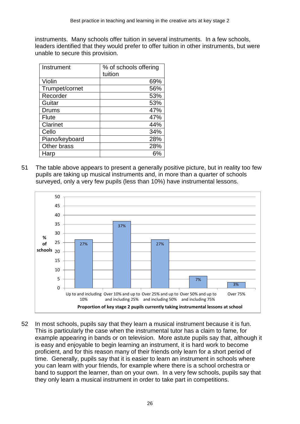instruments. Many schools offer tuition in several instruments. In a few schools, leaders identified that they would prefer to offer tuition in other instruments, but were unable to secure this provision.

| Instrument     | % of schools offering |
|----------------|-----------------------|
|                | tuition               |
| Violin         | 69%                   |
| Trumpet/cornet | 56%                   |
| Recorder       | 53%                   |
| Guitar         | 53%                   |
| Drums          | 47%                   |
| <b>Flute</b>   | 47%                   |
| Clarinet       | 44%                   |
| Cello          | 34%                   |
| Piano/keyboard | 28%                   |
| Other brass    | 28%                   |
| Harp           | 6%                    |

51 The table above appears to present a generally positive picture, but in reality too few pupils are taking up musical instruments and, in more than a quarter of schools surveyed, only a very few pupils (less than 10%) have instrumental lessons.



52 In most schools, pupils say that they learn a musical instrument because it is fun. This is particularly the case when the instrumental tutor has a claim to fame, for example appearing in bands or on television. More astute pupils say that, although it is easy and enjoyable to begin learning an instrument, it is hard work to become proficient, and for this reason many of their friends only learn for a short period of time. Generally, pupils say that it is easier to learn an instrument in schools where you can learn with your friends, for example where there is a school orchestra or band to support the learner, than on your own. In a very few schools, pupils say that they only learn a musical instrument in order to take part in competitions.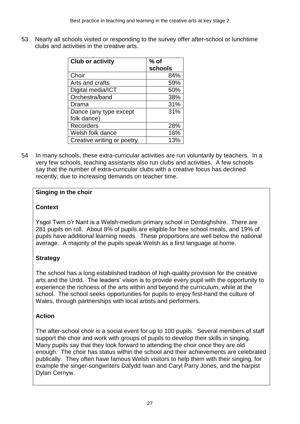53 Nearly all schools visited or responding to the survey offer after-school or lunchtime clubs and activities in the creative arts.

| <b>Club or activity</b>    | $%$ of  |
|----------------------------|---------|
|                            | schools |
| Choir                      | 84%     |
| Arts and crafts            | 59%     |
| Digital media/ICT          | 50%     |
| Orchestra/band             | 38%     |
| Drama                      | 31%     |
| Dance (any type except     | 31%     |
| folk dance)                |         |
| Recorders                  | 28%     |
| Welsh folk dance           | 16%     |
| Creative writing or poetry | 13%     |

54 In many schools, these extra-curricular activities are run voluntarily by teachers. In a very few schools, teaching assistants also run clubs and activities. A few schools say that the number of extra-curricular clubs with a creative focus has declined recently, due to increasing demands on teacher time.

## **Singing in the choir**

## **Context**

Ysgol Twm o'r Nant is a Welsh-medium primary school in Denbighshire. There are 281 pupils on roll. About 8% of pupils are eligible for free school meals, and 19% of pupils have additional learning needs. These proportions are well below the national average. A majority of the pupils speak Welsh as a first language at home.

## **Strategy**

The school has a long established tradition of high-quality provision for the creative arts and the Urdd. The leaders' vision is to provide every pupil with the opportunity to experience the richness of the arts within and beyond the curriculum, while at the school. The school seeks opportunities for pupils to enjoy first-hand the culture of Wales, through partnerships with local artists and performers.

## **Action**

The after-school choir is a social event for up to 100 pupils. Several members of staff support the choir and work with groups of pupils to develop their skills in singing. Many pupils say that they look forward to attending the choir once they are old enough. The choir has status within the school and their achievements are celebrated publically. They often have famous Welsh visitors to help them with their singing, for example the singer-songwriters Dafydd Iwan and Caryl Parry Jones, and the harpist Dylan Cernyw.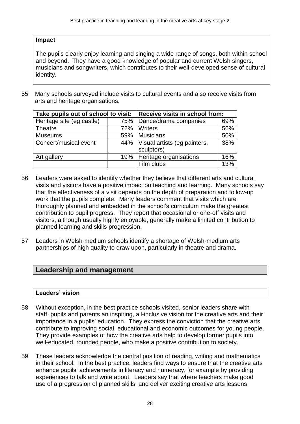### **Impact**

The pupils clearly enjoy learning and singing a wide range of songs, both within school and beyond. They have a good knowledge of popular and current Welsh singers, musicians and songwriters, which contributes to their well-developed sense of cultural identity.

55 Many schools surveyed include visits to cultural events and also receive visits from arts and heritage organisations.

| Take pupils out of school to visit: |     | Receive visits in school from:     |     |
|-------------------------------------|-----|------------------------------------|-----|
| Heritage site (eg castle)           | 75% | Dance/drama companies              | 69% |
| Theatre                             | 72% | Writers                            | 56% |
| <b>Museums</b>                      | 59% | <b>Musicians</b>                   | 50% |
| Concert/musical event               |     | 44%   Visual artists (eg painters, | 38% |
|                                     |     | sculptors)                         |     |
| Art gallery                         |     | 19%   Heritage organisations       | 16% |
|                                     |     | Film clubs                         | 13% |

- 56 Leaders were asked to identify whether they believe that different arts and cultural visits and visitors have a positive impact on teaching and learning. Many schools say that the effectiveness of a visit depends on the depth of preparation and follow-up work that the pupils complete. Many leaders comment that visits which are thoroughly planned and embedded in the school's curriculum make the greatest contribution to pupil progress. They report that occasional or one-off visits and visitors, although usually highly enjoyable, generally make a limited contribution to planned learning and skills progression.
- 57 Leaders in Welsh-medium schools identify a shortage of Welsh-medium arts partnerships of high quality to draw upon, particularly in theatre and drama.

## **Leadership and management**

### **Leaders' vision**

- 58 Without exception, in the best practice schools visited, senior leaders share with staff, pupils and parents an inspiring, all-inclusive vision for the creative arts and their importance in a pupils' education. They express the conviction that the creative arts contribute to improving social, educational and economic outcomes for young people. They provide examples of how the creative arts help to develop former pupils into well-educated, rounded people, who make a positive contribution to society.
- 59 These leaders acknowledge the central position of reading, writing and mathematics in their school. In the best practice, leaders find ways to ensure that the creative arts enhance pupils' achievements in literacy and numeracy, for example by providing experiences to talk and write about. Leaders say that where teachers make good use of a progression of planned skills, and deliver exciting creative arts lessons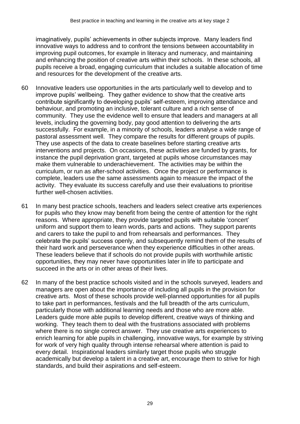imaginatively, pupils' achievements in other subjects improve. Many leaders find innovative ways to address and to confront the tensions between accountability in improving pupil outcomes, for example in literacy and numeracy, and maintaining and enhancing the position of creative arts within their schools. In these schools, all pupils receive a broad, engaging curriculum that includes a suitable allocation of time and resources for the development of the creative arts.

- 60 Innovative leaders use opportunities in the arts particularly well to develop and to improve pupils' wellbeing. They gather evidence to show that the creative arts contribute significantly to developing pupils' self-esteem, improving attendance and behaviour, and promoting an inclusive, tolerant culture and a rich sense of community. They use the evidence well to ensure that leaders and managers at all levels, including the governing body, pay good attention to delivering the arts successfully. For example, in a minority of schools, leaders analyse a wide range of pastoral assessment well. They compare the results for different groups of pupils. They use aspects of the data to create baselines before starting creative arts interventions and projects. On occasions, these activities are funded by grants, for instance the pupil deprivation grant, targeted at pupils whose circumstances may make them vulnerable to underachievement. The activities may be within the curriculum, or run as after-school activities. Once the project or performance is complete, leaders use the same assessments again to measure the impact of the activity. They evaluate its success carefully and use their evaluations to prioritise further well-chosen activities.
- 61 In many best practice schools, teachers and leaders select creative arts experiences for pupils who they know may benefit from being the centre of attention for the right reasons. Where appropriate, they provide targeted pupils with suitable 'concert' uniform and support them to learn words, parts and actions. They support parents and carers to take the pupil to and from rehearsals and performances. They celebrate the pupils' success openly, and subsequently remind them of the results of their hard work and perseverance when they experience difficulties in other areas. These leaders believe that if schools do not provide pupils with worthwhile artistic opportunities, they may never have opportunities later in life to participate and succeed in the arts or in other areas of their lives.
- 62 In many of the best practice schools visited and in the schools surveyed, leaders and managers are open about the importance of including all pupils in the provision for creative arts. Most of these schools provide well-planned opportunities for all pupils to take part in performances, festivals and the full breadth of the arts curriculum, particularly those with additional learning needs and those who are more able. Leaders guide more able pupils to develop different, creative ways of thinking and working. They teach them to deal with the frustrations associated with problems where there is no single correct answer. They use creative arts experiences to enrich learning for able pupils in challenging, innovative ways, for example by striving for work of very high quality through intense rehearsal where attention is paid to every detail. Inspirational leaders similarly target those pupils who struggle academically but develop a talent in a creative art, encourage them to strive for high standards, and build their aspirations and self-esteem.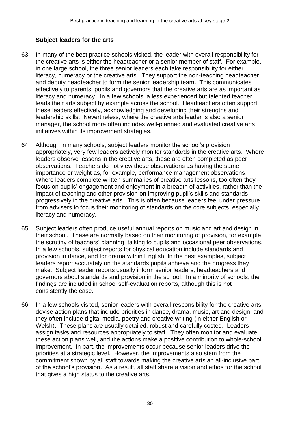### **Subject leaders for the arts**

- 63 In many of the best practice schools visited, the leader with overall responsibility for the creative arts is either the headteacher or a senior member of staff. For example, in one large school, the three senior leaders each take responsibility for either literacy, numeracy or the creative arts. They support the non-teaching headteacher and deputy headteacher to form the senior leadership team. This communicates effectively to parents, pupils and governors that the creative arts are as important as literacy and numeracy. In a few schools, a less experienced but talented teacher leads their arts subject by example across the school. Headteachers often support these leaders effectively, acknowledging and developing their strengths and leadership skills. Nevertheless, where the creative arts leader is also a senior manager, the school more often includes well-planned and evaluated creative arts initiatives within its improvement strategies.
- 64 Although in many schools, subject leaders monitor the school's provision appropriately, very few leaders actively monitor standards in the creative arts. Where leaders observe lessons in the creative arts, these are often completed as peer observations. Teachers do not view these observations as having the same importance or weight as, for example, performance management observations. Where leaders complete written summaries of creative arts lessons, too often they focus on pupils' engagement and enjoyment in a breadth of activities, rather than the impact of teaching and other provision on improving pupil's skills and standards progressively in the creative arts. This is often because leaders feel under pressure from advisers to focus their monitoring of standards on the core subjects, especially literacy and numeracy.
- 65 Subject leaders often produce useful annual reports on music and art and design in their school. These are normally based on their monitoring of provision, for example the scrutiny of teachers' planning, talking to pupils and occasional peer observations. In a few schools, subject reports for physical education include standards and provision in dance, and for drama within English. In the best examples, subject leaders report accurately on the standards pupils achieve and the progress they make. Subject leader reports usually inform senior leaders, headteachers and governors about standards and provision in the school. In a minority of schools, the findings are included in school self-evaluation reports, although this is not consistently the case.
- 66 In a few schools visited, senior leaders with overall responsibility for the creative arts devise action plans that include priorities in dance, drama, music, art and design, and they often include digital media, poetry and creative writing (in either English or Welsh). These plans are usually detailed, robust and carefully costed. Leaders assign tasks and resources appropriately to staff. They often monitor and evaluate these action plans well, and the actions make a positive contribution to whole-school improvement. In part, the improvements occur because senior leaders drive the priorities at a strategic level. However, the improvements also stem from the commitment shown by all staff towards making the creative arts an all-inclusive part of the school's provision. As a result, all staff share a vision and ethos for the school that gives a high status to the creative arts.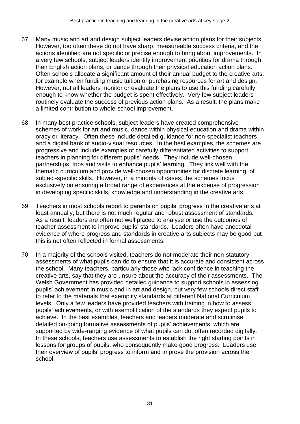- 67 Many music and art and design subject leaders devise action plans for their subjects. However, too often these do not have sharp, measureable success criteria, and the actions identified are not specific or precise enough to bring about improvements. In a very few schools, subject leaders identify improvement priorities for drama through their English action plans, or dance through their physical education action plans. Often schools allocate a significant amount of their annual budget to the creative arts, for example when funding music tuition or purchasing resources for art and design. However, not all leaders monitor or evaluate the plans to use this funding carefully enough to know whether the budget is spent effectively. Very few subject leaders routinely evaluate the success of previous action plans. As a result, the plans make a limited contribution to whole-school improvement.
- 68 In many best practice schools, subject leaders have created comprehensive schemes of work for art and music, dance within physical education and drama within oracy or literacy. Often these include detailed guidance for non-specialist teachers and a digital bank of audio-visual resources. In the best examples, the schemes are progressive and include examples of carefully differentiated activities to support teachers in planning for different pupils' needs. They include well-chosen partnerships, trips and visits to enhance pupils' learning. They link well with the thematic curriculum and provide well-chosen opportunities for discrete learning, of subject-specific skills. However, in a minority of cases, the schemes focus exclusively on ensuring a broad range of experiences at the expense of progression in developing specific skills, knowledge and understanding in the creative arts.
- 69 Teachers in most schools report to parents on pupils' progress in the creative arts at least annually, but there is not much regular and robust assessment of standards. As a result, leaders are often not well placed to analyse or use the outcomes of teacher assessment to improve pupils' standards. Leaders often have anecdotal evidence of where progress and standards in creative arts subjects may be good but this is not often reflected in formal assessments.
- 70 In a majority of the schools visited, teachers do not moderate their non-statutory assessments of what pupils can do to ensure that it is accurate and consistent across the school. Many teachers, particularly those who lack confidence in teaching the creative arts, say that they are unsure about the accuracy of their assessments. The Welsh Government has provided detailed guidance to support schools in assessing pupils' achievement in music and in art and design, but very few schools direct staff to refer to the materials that exemplify standards at different National Curriculum levels. Only a few leaders have provided teachers with training in how to assess pupils' achievements, or with exemplification of the standards they expect pupils to achieve. In the best examples, teachers and leaders moderate and scrutinise detailed on-going formative assessments of pupils' achievements, which are supported by wide-ranging evidence of what pupils can do, often recorded digitally. In these schools, teachers use assessments to establish the right starting points in lessons for groups of pupils, who consequently make good progress. Leaders use their overview of pupils' progress to inform and improve the provision across the school.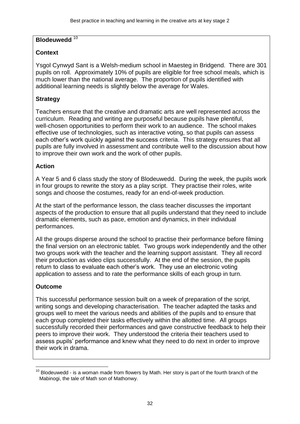## **Blodeuwedd** <sup>10</sup>

## **Context**

Ysgol Cynwyd Sant is a Welsh-medium school in Maesteg in Bridgend. There are 301 pupils on roll. Approximately 10% of pupils are eligible for free school meals, which is much lower than the national average. The proportion of pupils identified with additional learning needs is slightly below the average for Wales.

### **Strategy**

Teachers ensure that the creative and dramatic arts are well represented across the curriculum. Reading and writing are purposeful because pupils have plentiful, well-chosen opportunities to perform their work to an audience. The school makes effective use of technologies, such as interactive voting, so that pupils can assess each other's work quickly against the success criteria. This strategy ensures that all pupils are fully involved in assessment and contribute well to the discussion about how to improve their own work and the work of other pupils.

### **Action**

A Year 5 and 6 class study the story of Blodeuwedd. During the week, the pupils work in four groups to rewrite the story as a play script. They practise their roles, write songs and choose the costumes, ready for an end-of-week production.

At the start of the performance lesson, the class teacher discusses the important aspects of the production to ensure that all pupils understand that they need to include dramatic elements, such as pace, emotion and dynamics, in their individual performances.

All the groups disperse around the school to practise their performance before filming the final version on an electronic tablet. Two groups work independently and the other two groups work with the teacher and the learning support assistant. They all record their production as video clips successfully. At the end of the session, the pupils return to class to evaluate each other's work. They use an electronic voting application to assess and to rate the performance skills of each group in turn.

## **Outcome**

This successful performance session built on a week of preparation of the script, writing songs and developing characterisation. The teacher adapted the tasks and groups well to meet the various needs and abilities of the pupils and to ensure that each group completed their tasks effectively within the allotted time. All groups successfully recorded their performances and gave constructive feedback to help their peers to improve their work. They understood the criteria their teachers used to assess pupils' performance and knew what they need to do next in order to improve their work in drama.

 $\overline{a}$  $10$  Blodeuwedd - is a woman made from flowers by Math. Her story is part of the fourth branch of the Mabinogi, the tale of Math son of Mathonwy.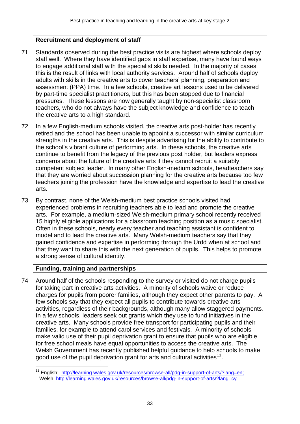### **Recruitment and deployment of staff**

- 71 Standards observed during the best practice visits are highest where schools deploy staff well. Where they have identified gaps in staff expertise, many have found ways to engage additional staff with the specialist skills needed. In the majority of cases, this is the result of links with local authority services. Around half of schools deploy adults with skills in the creative arts to cover teachers' planning, preparation and assessment (PPA) time. In a few schools, creative art lessons used to be delivered by part-time specialist practitioners, but this has been stopped due to financial pressures. These lessons are now generally taught by non-specialist classroom teachers, who do not always have the subject knowledge and confidence to teach the creative arts to a high standard.
- 72 In a few English-medium schools visited, the creative arts post-holder has recently retired and the school has been unable to appoint a successor with similar curriculum strengths in the creative arts. This is despite advertising for the ability to contribute to the school's vibrant culture of performing arts. In these schools, the creative arts continue to benefit from the legacy of the previous post holder, but leaders express concerns about the future of the creative arts if they cannot recruit a suitably competent subject leader. In many other English-medium schools, headteachers say that they are worried about succession planning for the creative arts because too few teachers joining the profession have the knowledge and expertise to lead the creative arts.
- 73 By contrast, none of the Welsh-medium best practice schools visited had experienced problems in recruiting teachers able to lead and promote the creative arts. For example, a medium-sized Welsh-medium primary school recently received 15 highly eligible applications for a classroom teaching position as a music specialist. Often in these schools, nearly every teacher and teaching assistant is confident to model and to lead the creative arts. Many Welsh-medium teachers say that they gained confidence and expertise in performing through the Urdd when at school and that they want to share this with the next generation of pupils. This helps to promote a strong sense of cultural identity.

### **Funding, training and partnerships**

74 Around half of the schools responding to the survey or visited do not charge pupils for taking part in creative arts activities. A minority of schools waive or reduce charges for pupils from poorer families, although they expect other parents to pay. A few schools say that they expect all pupils to contribute towards creative arts activities, regardless of their backgrounds, although many allow staggered payments. In a few schools, leaders seek out grants which they use to fund initiatives in the creative arts. Many schools provide free transport for participating pupils and their families, for example to attend carol services and festivals. A minority of schools make valid use of their pupil deprivation grant to ensure that pupils who are eligible for free school meals have equal opportunities to access the creative arts. The Welsh Government has recently published helpful guidance to help schools to make good use of the pupil deprivation grant for arts and cultural activities $^{11}$ .

 $\overline{a}$ <sup>11</sup> English: [http://learning.wales.gov.uk/resources/browse-all/pdg-in-support-of-arts/?lang=en;](http://learning.wales.gov.uk/resources/browse-all/pdg-in-support-of-arts/?lang=en) Welsh:<http://learning.wales.gov.uk/resources/browse-all/pdg-in-support-of-arts/?lang=cy>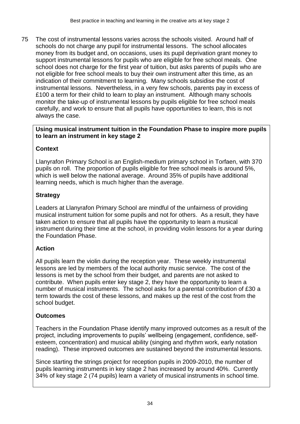75 The cost of instrumental lessons varies across the schools visited. Around half of schools do not charge any pupil for instrumental lessons. The school allocates money from its budget and, on occasions, uses its pupil deprivation grant money to support instrumental lessons for pupils who are eligible for free school meals. One school does not charge for the first year of tuition, but asks parents of pupils who are not eligible for free school meals to buy their own instrument after this time, as an indication of their commitment to learning. Many schools subsidise the cost of instrumental lessons. Nevertheless, in a very few schools, parents pay in excess of £100 a term for their child to learn to play an instrument. Although many schools monitor the take-up of instrumental lessons by pupils eligible for free school meals carefully, and work to ensure that all pupils have opportunities to learn, this is not always the case.

### **Using musical instrument tuition in the Foundation Phase to inspire more pupils to learn an instrument in key stage 2**

## **Context**

Llanyrafon Primary School is an English-medium primary school in Torfaen, with 370 pupils on roll. The proportion of pupils eligible for free school meals is around 5%, which is well below the national average. Around 35% of pupils have additional learning needs, which is much higher than the average.

## **Strategy**

Leaders at Llanyrafon Primary School are mindful of the unfairness of providing musical instrument tuition for some pupils and not for others. As a result, they have taken action to ensure that all pupils have the opportunity to learn a musical instrument during their time at the school, in providing violin lessons for a year during the Foundation Phase.

## **Action**

All pupils learn the violin during the reception year. These weekly instrumental lessons are led by members of the local authority music service. The cost of the lessons is met by the school from their budget, and parents are not asked to contribute. When pupils enter key stage 2, they have the opportunity to learn a number of musical instruments. The school asks for a parental contribution of £30 a term towards the cost of these lessons, and makes up the rest of the cost from the school budget.

## **Outcomes**

Teachers in the Foundation Phase identify many improved outcomes as a result of the project, including improvements to pupils' wellbeing (engagement, confidence, selfesteem, concentration) and musical ability (singing and rhythm work, early notation reading). These improved outcomes are sustained beyond the instrumental lessons.

Since starting the strings project for reception pupils in 2009-2010, the number of pupils learning instruments in key stage 2 has increased by around 40%. Currently 34% of key stage 2 (74 pupils) learn a variety of musical instruments in school time.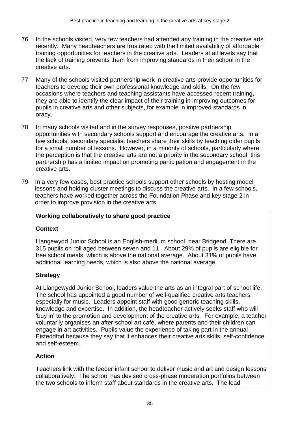- 76 In the schools visited, very few teachers had attended any training in the creative arts recently. Many headteachers are frustrated with the limited availability of affordable training opportunities for teachers in the creative arts. Leaders at all levels say that the lack of training prevents them from improving standards in their school in the creative arts.
- 77 Many of the schools visited partnership work in creative arts provide opportunities for teachers to develop their own professional knowledge and skills. On the few occasions where teachers and teaching assistants have accessed recent training, they are able to identify the clear impact of their training in improving outcomes for pupils in creative arts and other subjects, for example in improved standards in oracy.
- 78 In many schools visited and in the survey responses, positive partnership opportunities with secondary schools support and encourage the creative arts. In a few schools, secondary specialist teachers share their skills by teaching older pupils for a small number of lessons. However, in a minority of schools, particularly where the perception is that the creative arts are not a priority in the secondary school, this partnership has a limited impact on promoting participation and engagement in the creative arts.
- 79 In a very few cases, best practice schools support other schools by hosting model lessons and holding cluster meetings to discuss the creative arts. In a few schools, teachers have worked together across the Foundation Phase and key stage 2 in order to improve provision in the creative arts.

### **Working collaboratively to share good practice**

### **Context**

Llangewydd Junior School is an English-medium school, near Bridgend. There are 315 pupils on roll aged between seven and 11. About 29% of pupils are eligible for free school meals, which is above the national average. About 31% of pupils have additional learning needs, which is also above the national average.

### **Strategy**

At Llangewydd Junior School, leaders value the arts as an integral part of school life. The school has appointed a good number of well-qualified creative arts teachers, especially for music. Leaders appoint staff with good generic teaching skills, knowledge and expertise. In addition, the headteacher actively seeks staff who will 'buy in' to the promotion and development of the creative arts. For example, a teacher voluntarily organises an after-school art café, where parents and their children can engage in art activities. Pupils value the experience of taking part in the annual Eisteddfod because they say that it enhances their creative arts skills, self-confidence and self-esteem.

### **Action**

Teachers link with the feeder infant school to deliver music and art and design lessons collaboratively. The school has devised cross-phase moderation portfolios between the two schools to inform staff about standards in the creative arts. The lead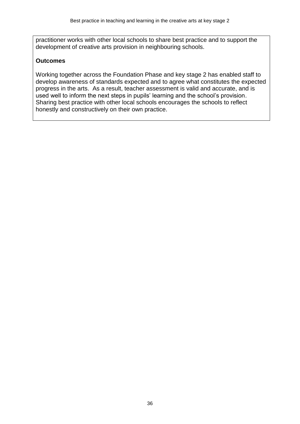practitioner works with other local schools to share best practice and to support the development of creative arts provision in neighbouring schools.

### **Outcomes**

Working together across the Foundation Phase and key stage 2 has enabled staff to develop awareness of standards expected and to agree what constitutes the expected progress in the arts. As a result, teacher assessment is valid and accurate, and is used well to inform the next steps in pupils' learning and the school's provision. Sharing best practice with other local schools encourages the schools to reflect honestly and constructively on their own practice.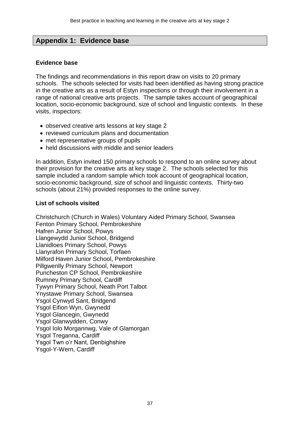## **Appendix 1: Evidence base**

### **Evidence base**

The findings and recommendations in this report draw on visits to 20 primary schools. The schools selected for visits had been identified as having strong practice in the creative arts as a result of Estyn inspections or through their involvement in a range of national creative arts projects. The sample takes account of geographical location, socio-economic background, size of school and linguistic contexts. In these visits, inspectors:

- observed creative arts lessons at key stage 2
- reviewed curriculum plans and documentation
- met representative groups of pupils
- held discussions with middle and senior leaders

In addition, Estyn invited 150 primary schools to respond to an online survey about their provision for the creative arts at key stage 2. The schools selected for this sample included a random sample which took account of geographical location, socio-economic background, size of school and linguistic contexts. Thirty-two schools (about 21%) provided responses to the online survey.

### **List of schools visited**

Christchurch (Church in Wales) Voluntary Aided Primary School, Swansea Fenton Primary School, Pembrokeshire Hafren Junior School, Powys Llangewydd Junior School, Bridgend Llanidloes Primary School, Powys Llanyrafon Primary School, Torfaen Milford Haven Junior School, Pembrokeshire Pillgwenlly Primary School, Newport Puncheston CP School, Pembrokeshire Rumney Primary School, Cardiff Tywyn Primary School, Neath Port Talbot Ynystawe Primary School, Swansea Ysgol Cynwyd Sant, Bridgend Ysgol Eifion Wyn, Gwynedd Ysgol Glancegin, Gwynedd Ysgol Glanwydden, Conwy Ysgol Iolo Morgannwg, Vale of Glamorgan Ysgol Treganna, Cardiff Ysgol Twn o'r Nant, Denbighshire Ysgol-Y-Wern, Cardiff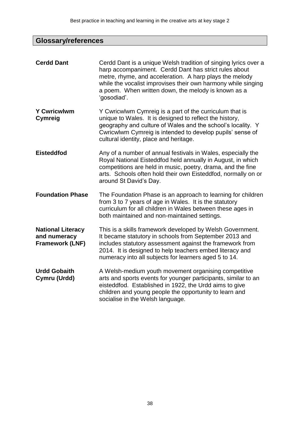# **Glossary/references**

| <b>Cerdd Dant</b>                                                  | Cerdd Dant is a unique Welsh tradition of singing lyrics over a<br>harp accompaniment. Cerdd Dant has strict rules about<br>metre, rhyme, and acceleration. A harp plays the melody<br>while the vocalist improvises their own harmony while singing<br>a poem. When written down, the melody is known as a<br>'gosodiad'. |
|--------------------------------------------------------------------|----------------------------------------------------------------------------------------------------------------------------------------------------------------------------------------------------------------------------------------------------------------------------------------------------------------------------|
| <b>Y Cwricwlwm</b><br><b>Cymreig</b>                               | Y Cwricwlwm Cymreig is a part of the curriculum that is<br>unique to Wales. It is designed to reflect the history,<br>geography and culture of Wales and the school's locality. Y<br>Cwricwlwm Cymreig is intended to develop pupils' sense of<br>cultural identity, place and heritage.                                   |
| <b>Eisteddfod</b>                                                  | Any of a number of annual festivals in Wales, especially the<br>Royal National Eisteddfod held annually in August, in which<br>competitions are held in music, poetry, drama, and the fine<br>arts. Schools often hold their own Eisteddfod, normally on or<br>around St David's Day.                                      |
| <b>Foundation Phase</b>                                            | The Foundation Phase is an approach to learning for children<br>from 3 to 7 years of age in Wales. It is the statutory<br>curriculum for all children in Wales between these ages in<br>both maintained and non-maintained settings.                                                                                       |
| <b>National Literacy</b><br>and numeracy<br><b>Framework (LNF)</b> | This is a skills framework developed by Welsh Government.<br>It became statutory in schools from September 2013 and<br>includes statutory assessment against the framework from<br>2014. It is designed to help teachers embed literacy and<br>numeracy into all subjects for learners aged 5 to 14.                       |
| <b>Urdd Gobaith</b><br>Cymru (Urdd)                                | A Welsh-medium youth movement organising competitive<br>arts and sports events for younger participants, similar to an<br>eisteddfod. Established in 1922, the Urdd aims to give<br>children and young people the opportunity to learn and<br>socialise in the Welsh language.                                             |